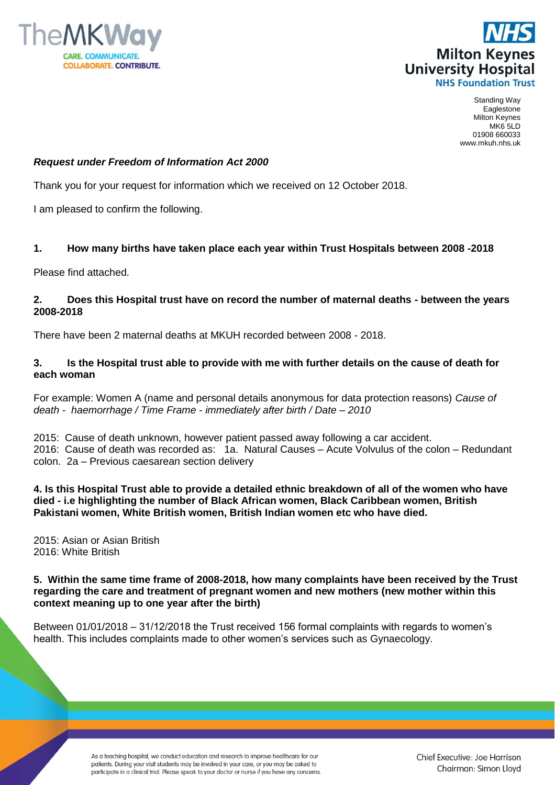



Standing Way Eaglestone Milton Keynes MK6 5LD 01908 660033 www.mkuh.nhs.uk

# *Request under Freedom of Information Act 2000*

Thank you for your request for information which we received on 12 October 2018.

I am pleased to confirm the following.

# **1. How many births have taken place each year within Trust Hospitals between 2008 -2018**

Please find attached.

### **2. Does this Hospital trust have on record the number of maternal deaths - between the years 2008-2018**

There have been 2 maternal deaths at MKUH recorded between 2008 - 2018.

# **3. Is the Hospital trust able to provide with me with further details on the cause of death for each woman**

For example: Women A (name and personal details anonymous for data protection reasons) *Cause of death - haemorrhage / Time Frame - immediately after birth / Date – 2010*

2015: Cause of death unknown, however patient passed away following a car accident. 2016: Cause of death was recorded as: 1a. Natural Causes – Acute Volvulus of the colon – Redundant colon. 2a – Previous caesarean section delivery

**4. Is this Hospital Trust able to provide a detailed ethnic breakdown of all of the women who have died - i.e highlighting the number of Black African women, Black Caribbean women, British Pakistani women, White British women, British Indian women etc who have died.**

2015: Asian or Asian British 2016: White British

### **5. Within the same time frame of 2008-2018, how many complaints have been received by the Trust regarding the care and treatment of pregnant women and new mothers (new mother within this context meaning up to one year after the birth)**

Between 01/01/2018 – 31/12/2018 the Trust received 156 formal complaints with regards to women's health. This includes complaints made to other women's services such as Gynaecology.

> As a teaching hospital, we conduct education and research to improve healthcare for our patients. During your visit students may be involved in your care, or you may be asked to participate in a clinical trial. Please speak to your doctor or nurse if you have any concerns.

Chief Executive: Joe Harrison Chairman: Simon Lloyd